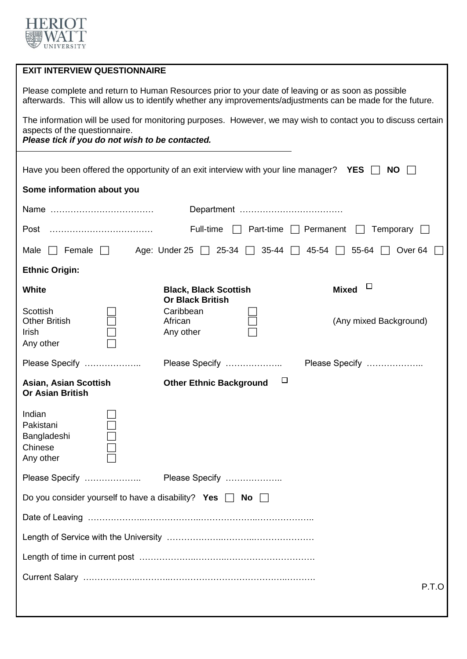

| <b>EXIT INTERVIEW QUESTIONNAIRE</b>                                                                                                                                                                               |                                                         |                        |  |  |  |  |  |
|-------------------------------------------------------------------------------------------------------------------------------------------------------------------------------------------------------------------|---------------------------------------------------------|------------------------|--|--|--|--|--|
| Please complete and return to Human Resources prior to your date of leaving or as soon as possible<br>afterwards. This will allow us to identify whether any improvements/adjustments can be made for the future. |                                                         |                        |  |  |  |  |  |
| The information will be used for monitoring purposes. However, we may wish to contact you to discuss certain<br>aspects of the questionnaire.<br>Please tick if you do not wish to be contacted.                  |                                                         |                        |  |  |  |  |  |
|                                                                                                                                                                                                                   |                                                         |                        |  |  |  |  |  |
| Have you been offered the opportunity of an exit interview with your line manager? YES $\Box$<br><b>NO</b>                                                                                                        |                                                         |                        |  |  |  |  |  |
| Some information about you                                                                                                                                                                                        |                                                         |                        |  |  |  |  |  |
|                                                                                                                                                                                                                   |                                                         |                        |  |  |  |  |  |
| Full-time $\Box$ Part-time $\Box$ Permanent $\Box$<br>Temporary [<br>Post                                                                                                                                         |                                                         |                        |  |  |  |  |  |
| Age: Under 25 $\Box$ 25-34 $\Box$ 35-44 $\Box$ 45-54 $\Box$ 55-64 $\Box$ Over 64<br>$\Box$ Female $\Box$<br>Male                                                                                                  |                                                         |                        |  |  |  |  |  |
| <b>Ethnic Origin:</b>                                                                                                                                                                                             |                                                         |                        |  |  |  |  |  |
| White                                                                                                                                                                                                             | <b>Black, Black Scottish</b><br><b>Or Black British</b> | ப<br><b>Mixed</b>      |  |  |  |  |  |
| Scottish<br><b>Other British</b><br>Irish<br>Any other                                                                                                                                                            | Caribbean<br>African<br>Any other                       | (Any mixed Background) |  |  |  |  |  |
| Please Specify                                                                                                                                                                                                    | Please Specify                                          | Please Specify         |  |  |  |  |  |
| Asian, Asian Scottish<br><b>Or Asian British</b>                                                                                                                                                                  | $\Box$<br><b>Other Ethnic Background</b>                |                        |  |  |  |  |  |
| Indian<br>Pakistani<br>Bangladeshi<br>Chinese<br>Any other                                                                                                                                                        |                                                         |                        |  |  |  |  |  |
| Please Specify                                                                                                                                                                                                    | Please Specify                                          |                        |  |  |  |  |  |
| Do you consider yourself to have a disability? Yes $\Box$ No $\Box$                                                                                                                                               |                                                         |                        |  |  |  |  |  |
|                                                                                                                                                                                                                   |                                                         |                        |  |  |  |  |  |
|                                                                                                                                                                                                                   |                                                         |                        |  |  |  |  |  |
|                                                                                                                                                                                                                   |                                                         |                        |  |  |  |  |  |
|                                                                                                                                                                                                                   |                                                         | P.T.O                  |  |  |  |  |  |